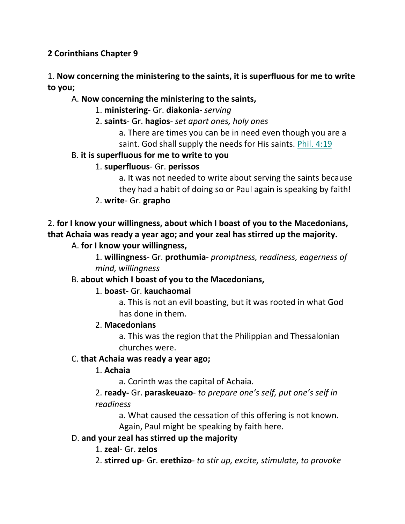## **2 Corinthians Chapter 9**

## 1. **Now concerning the ministering to the saints, it is superfluous for me to write to you;**

## A. **Now concerning the ministering to the saints,**

- 1. **ministering** Gr. **diakonia** *serving*
- 2. **saints** Gr. **hagios** *set apart ones, holy ones*

a. There are times you can be in need even though you are a saint. God shall supply the needs for His saints. Phil. 4:19

## B. **it is superfluous for me to write to you**

## 1. **superfluous**- Gr. **perissos**

a. It was not needed to write about serving the saints because they had a habit of doing so or Paul again is speaking by faith!

2. **write**- Gr. **grapho**

## 2. **for I know your willingness, about which I boast of you to the Macedonians, that Achaia was ready a year ago; and your zeal has stirred up the majority.**

## A. **for I know your willingness,**

1. **willingness**- Gr. **prothumia**- *promptness, readiness, eagerness of mind, willingness*

## B. **about which I boast of you to the Macedonians,**

## 1. **boast**- Gr. **kauchaomai**

a. This is not an evil boasting, but it was rooted in what God has done in them.

## 2. **Macedonians**

a. This was the region that the Philippian and Thessalonian churches were.

## C. **that Achaia was ready a year ago;**

## 1. **Achaia**

a. Corinth was the capital of Achaia.

## 2. **ready-** Gr. **paraskeuazo**- *to prepare one's self, put one's self in readiness*

a. What caused the cessation of this offering is not known.

Again, Paul might be speaking by faith here.

## D. **and your zeal has stirred up the majority**

1. **zeal**- Gr. **zelos**

2. **stirred up**- Gr. **erethizo**- *to stir up, excite, stimulate, to provoke*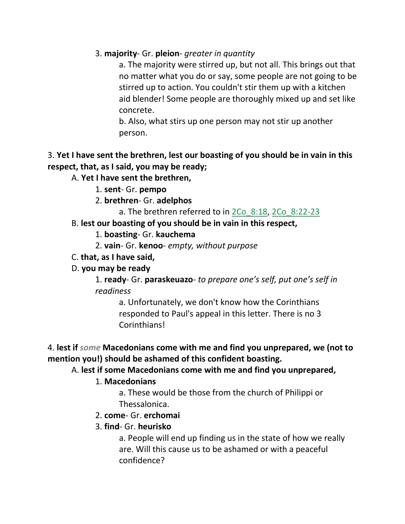#### 3. **majority**- Gr. **pleion**- *greater in quantity*

a. The majority were stirred up, but not all. This brings out that no matter what you do or say, some people are not going to be stirred up to action. You couldn't stir them up with a kitchen aid blender! Some people are thoroughly mixed up and set like concrete.

b. Also, what stirs up one person may not stir up another person.

## 3. **Yet I have sent the brethren, lest our boasting of you should be in vain in this respect, that, as I said, you may be ready;**

## A. **Yet I have sent the brethren,**

- 1. **sent** Gr. **pempo**
- 2. **brethren** Gr. **adelphos**
	- a. The brethren referred to in 2Co\_8:18, 2Co\_8:22-23

## B. **lest our boasting of you should be in vain in this respect,**

- 1. **boasting** Gr. **kauchema**
- 2. **vain** Gr. **kenoo** *empty, without purpose*
- C. **that, as I have said,**

## D. **you may be ready**

1. **ready**- Gr. **paraskeuazo**- *to prepare one's self, put one's self in readiness*

a. Unfortunately, we don't know how the Corinthians responded to Paul's appeal in this letter. There is no 3 Corinthians!

## 4. **lest if** *some* **Macedonians come with me and find you unprepared, we (not to mention you!) should be ashamed of this confident boasting.**

## A. **lest if some Macedonians come with me and find you unprepared,**

## 1. **Macedonians**

a. These would be those from the church of Philippi or Thessalonica.

## 2. **come**- Gr. **erchomai**

## 3. **find**- Gr. **heurisko**

a. People will end up finding us in the state of how we really are. Will this cause us to be ashamed or with a peaceful confidence?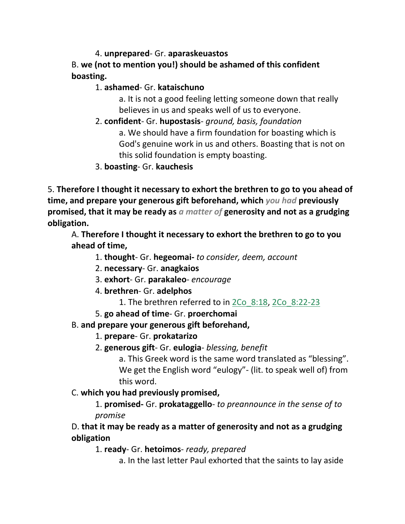4. **unprepared**- Gr. **aparaskeuastos** B. **we (not to mention you!) should be ashamed of this confident boasting.**

1. **ashamed**- Gr. **kataischuno**

a. It is not a good feeling letting someone down that really believes in us and speaks well of us to everyone.

2. **confident**- Gr. **hupostasis**- *ground, basis, foundation*

a. We should have a firm foundation for boasting which is God's genuine work in us and others. Boasting that is not on this solid foundation is empty boasting.

3. **boasting**- Gr. **kauchesis**

5. **Therefore I thought it necessary to exhort the brethren to go to you ahead of time, and prepare your generous gift beforehand, which** *you had* **previously promised, that it may be ready as** *a matter of* **generosity and not as a grudging obligation.** 

A. **Therefore I thought it necessary to exhort the brethren to go to you ahead of time,**

- 1. **thought** Gr. **hegeomai-** *to consider, deem, account*
- 2. **necessary** Gr. **anagkaios**
- 3. **exhort** Gr. **parakaleo** *encourage*
- 4. **brethren** Gr. **adelphos**
	- 1. The brethren referred to in 2Co 8:18, 2Co 8:22-23
- 5. **go ahead of time** Gr. **proerchomai**
- B. **and prepare your generous gift beforehand,**
	- 1. **prepare** Gr. **prokatarizo**
	- 2. **generous gift** Gr. **eulogia** *blessing, benefit*

a. This Greek word is the same word translated as "blessing". We get the English word "eulogy"- (lit. to speak well of) from this word.

## C. **which you had previously promised,**

1. **promised-** Gr. **prokataggello**- *to preannounce in the sense of to promise*

## D. **that it may be ready as a matter of generosity and not as a grudging obligation**

1. **ready**- Gr. **hetoimos**- *ready, prepared*

a. In the last letter Paul exhorted that the saints to lay aside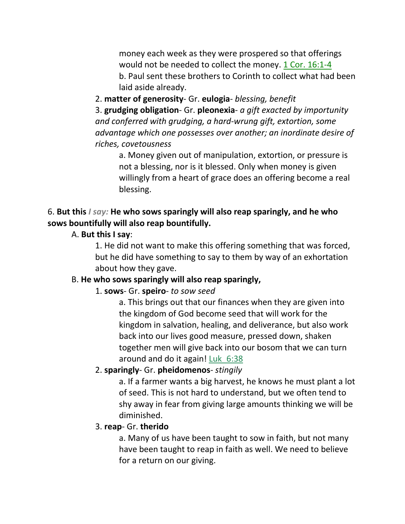money each week as they were prospered so that offerings would not be needed to collect the money. 1 Cor. 16:1-4 b. Paul sent these brothers to Corinth to collect what had been laid aside already.

2. **matter of generosity**- Gr. **eulogia**- *blessing, benefit*

3. **grudging obligation**- Gr. **pleonexia**- *a gift exacted by importunity and conferred with grudging, a hard-wrung gift, extortion, some advantage which one possesses over another; an inordinate desire of riches, covetousness*

a. Money given out of manipulation, extortion, or pressure is not a blessing, nor is it blessed. Only when money is given willingly from a heart of grace does an offering become a real blessing.

## 6. **But this** *I say:* **He who sows sparingly will also reap sparingly, and he who sows bountifully will also reap bountifully.**

## A. **But this I say**:

1. He did not want to make this offering something that was forced, but he did have something to say to them by way of an exhortation about how they gave.

## B. **He who sows sparingly will also reap sparingly,**

## 1. **sows**- Gr. **speiro**- *to sow seed*

a. This brings out that our finances when they are given into the kingdom of God become seed that will work for the kingdom in salvation, healing, and deliverance, but also work back into our lives good measure, pressed down, shaken together men will give back into our bosom that we can turn around and do it again! Luk\_6:38

## 2. **sparingly**- Gr. **pheidomenos**- *stingily*

a. If a farmer wants a big harvest, he knows he must plant a lot of seed. This is not hard to understand, but we often tend to shy away in fear from giving large amounts thinking we will be diminished.

## 3. **reap**- Gr. **therido**

a. Many of us have been taught to sow in faith, but not many have been taught to reap in faith as well. We need to believe for a return on our giving.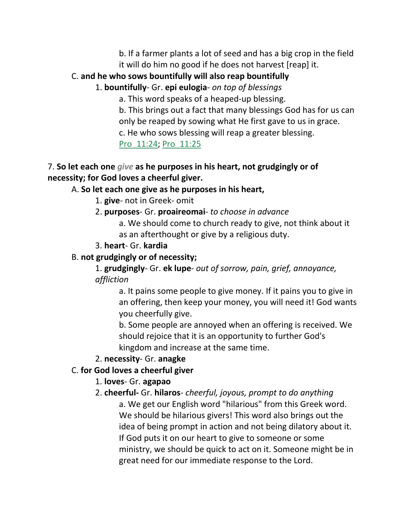- b. If a farmer plants a lot of seed and has a big crop in the field
- it will do him no good if he does not harvest [reap] it.

## C. **and he who sows bountifully will also reap bountifully**

## 1. **bountifully**- Gr. **epi eulogia**- *on top of blessings*

a. This word speaks of a heaped-up blessing.

b. This brings out a fact that many blessings God has for us can only be reaped by sowing what He first gave to us in grace.

c. He who sows blessing will reap a greater blessing.

## Pro\_11:24; Pro\_11:25

## 7. **So let each one** *give* **as he purposes in his heart, not grudgingly or of necessity; for God loves a cheerful giver.**

## A. **So let each one give as he purposes in his heart,**

- 1. **give** not in Greek- omit
- 2. **purposes** Gr. **proaireomai** *to choose in advance*
	- a. We should come to church ready to give, not think about it as an afterthought or give by a religious duty.
- 3. **heart** Gr. **kardia**

## B. **not grudgingly or of necessity;**

1. **grudgingly**- Gr. **ek lupe**- *out of sorrow, pain, grief, annoyance, affliction*

a. It pains some people to give money. If it pains you to give in an offering, then keep your money, you will need it! God wants you cheerfully give.

b. Some people are annoyed when an offering is received. We should rejoice that it is an opportunity to further God's kingdom and increase at the same time.

## 2. **necessity**- Gr. **anagke**

## C. **for God loves a cheerful giver**

## 1. **loves**- Gr. **agapao**

## 2. **cheerful-** Gr. **hilaros**- *cheerful, joyous, prompt to do anything*

a. We get our English word "hilarious" from this Greek word. We should be hilarious givers! This word also brings out the idea of being prompt in action and not being dilatory about it. If God puts it on our heart to give to someone or some ministry, we should be quick to act on it. Someone might be in great need for our immediate response to the Lord.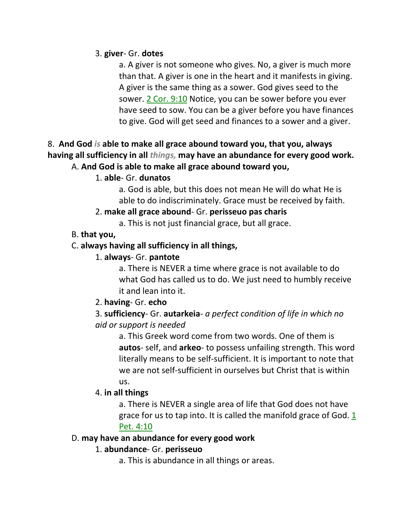#### 3. **giver**- Gr. **dotes**

a. A giver is not someone who gives. No, a giver is much more than that. A giver is one in the heart and it manifests in giving. A giver is the same thing as a sower. God gives seed to the sower. 2 Cor. 9:10 Notice, you can be sower before you ever have seed to sow. You can be a giver before you have finances to give. God will get seed and finances to a sower and a giver.

#### 8. **And God** *is* **able to make all grace abound toward you, that you, always having all sufficiency in all** *things,* **may have an abundance for every good work.**  A. **And God is able to make all grace abound toward you,**

#### 1. **able**- Gr. **dunatos**

a. God is able, but this does not mean He will do what He is able to do indiscriminately. Grace must be received by faith.

#### 2. **make all grace abound**- Gr. **perisseuo pas charis**

a. This is not just financial grace, but all grace.

#### B. **that you,**

#### C. **always having all sufficiency in all things,**

#### 1. **always**- Gr. **pantote**

a. There is NEVER a time where grace is not available to do what God has called us to do. We just need to humbly receive it and lean into it.

#### 2. **having**- Gr. **echo**

## 3. **sufficiency**- Gr. **autarkeia**- *a perfect condition of life in which no aid or support is needed*

a. This Greek word come from two words. One of them is **autos**- self, and **arkeo**- to possess unfailing strength. This word literally means to be self-sufficient. It is important to note that we are not self-sufficient in ourselves but Christ that is within us.

#### 4. **in all things**

a. There is NEVER a single area of life that God does not have grace for us to tap into. It is called the manifold grace of God. 1 Pet. 4:10

#### D. **may have an abundance for every good work**

#### 1. **abundance**- Gr. **perisseuo**

a. This is abundance in all things or areas.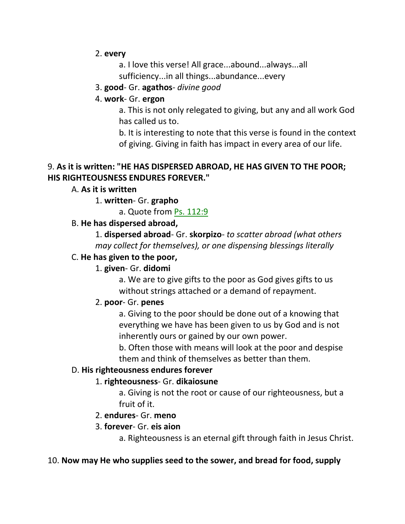#### 2. **every**

a. I love this verse! All grace...abound...always...all

sufficiency...in all things...abundance...every

#### 3. **good**- Gr. **agathos**- *divine good*

#### 4. **work**- Gr. **ergon**

a. This is not only relegated to giving, but any and all work God has called us to.

b. It is interesting to note that this verse is found in the context of giving. Giving in faith has impact in every area of our life.

#### 9. **As it is written: "HE HAS DISPERSED ABROAD, HE HAS GIVEN TO THE POOR; HIS RIGHTEOUSNESS ENDURES FOREVER."**

## A. **As it is written**

## 1. **written**- Gr. **grapho**

a. Quote from Ps. 112:9

## B. **He has dispersed abroad,**

1. **dispersed abroad**- Gr. **skorpizo**- *to scatter abroad (what others may collect for themselves), or one dispensing blessings literally*

#### C. **He has given to the poor,**

## 1. **given**- Gr. **didomi**

a. We are to give gifts to the poor as God gives gifts to us without strings attached or a demand of repayment.

#### 2. **poor**- Gr. **penes**

a. Giving to the poor should be done out of a knowing that everything we have has been given to us by God and is not inherently ours or gained by our own power.

b. Often those with means will look at the poor and despise them and think of themselves as better than them.

#### D. **His righteousness endures forever**

#### 1. **righteousness**- Gr. **dikaiosune**

a. Giving is not the root or cause of our righteousness, but a fruit of it.

#### 2. **endures**- Gr. **meno**

#### 3. **forever**- Gr. **eis aion**

a. Righteousness is an eternal gift through faith in Jesus Christ.

#### 10. **Now may He who supplies seed to the sower, and bread for food, supply**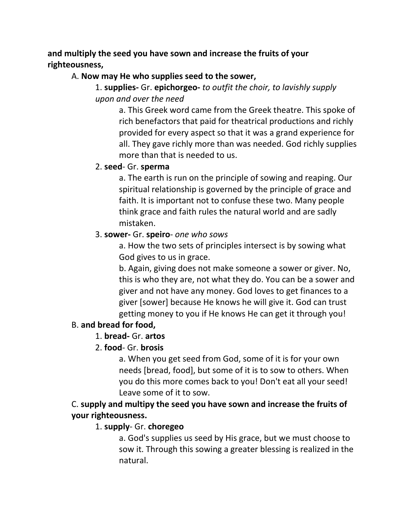## **and multiply the seed you have sown and increase the fruits of your righteousness,**

#### A. **Now may He who supplies seed to the sower,**

## 1. **supplies-** Gr. **epichorgeo-** *to outfit the choir, to lavishly supply upon and over the need*

a. This Greek word came from the Greek theatre. This spoke of rich benefactors that paid for theatrical productions and richly provided for every aspect so that it was a grand experience for all. They gave richly more than was needed. God richly supplies more than that is needed to us.

#### 2. **seed**- Gr. **sperma**

a. The earth is run on the principle of sowing and reaping. Our spiritual relationship is governed by the principle of grace and faith. It is important not to confuse these two. Many people think grace and faith rules the natural world and are sadly mistaken.

## 3. **sower-** Gr. **speiro**- *one who sows*

a. How the two sets of principles intersect is by sowing what God gives to us in grace.

b. Again, giving does not make someone a sower or giver. No, this is who they are, not what they do. You can be a sower and giver and not have any money. God loves to get finances to a giver [sower] because He knows he will give it. God can trust getting money to you if He knows He can get it through you!

## B. **and bread for food,**

## 1. **bread-** Gr. **artos**

## 2. **food**- Gr. **brosis**

a. When you get seed from God, some of it is for your own needs [bread, food], but some of it is to sow to others. When you do this more comes back to you! Don't eat all your seed! Leave some of it to sow.

C. **supply and multipy the seed you have sown and increase the fruits of your righteousness.** 

## 1. **supply**- Gr. **choregeo**

a. God's supplies us seed by His grace, but we must choose to sow it. Through this sowing a greater blessing is realized in the natural.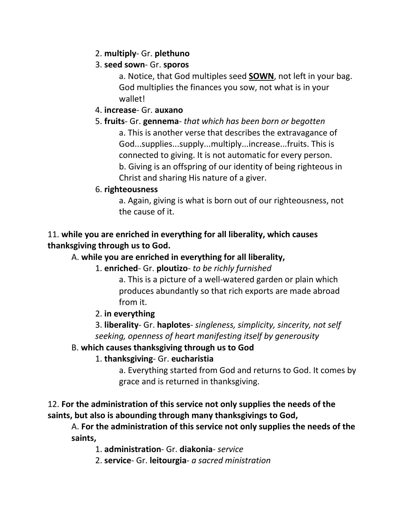## 2. **multiply**- Gr. **plethuno**

## 3. **seed sown**- Gr. **sporos**

a. Notice, that God multiples seed **SOWN**, not left in your bag. God multiplies the finances you sow, not what is in your wallet!

#### 4. **increase**- Gr. **auxano**

#### 5. **fruits**- Gr. **gennema**- *that which has been born or begotten*

a. This is another verse that describes the extravagance of God...supplies...supply...multiply...increase...fruits. This is connected to giving. It is not automatic for every person. b. Giving is an offspring of our identity of being righteous in Christ and sharing His nature of a giver.

#### 6. **righteousness**

a. Again, giving is what is born out of our righteousness, not the cause of it.

## 11. **while you are enriched in everything for all liberality, which causes thanksgiving through us to God.**

## A. **while you are enriched in everything for all liberality,**

#### 1. **enriched**- Gr. **ploutizo**- *to be richly furnished*

a. This is a picture of a well-watered garden or plain which produces abundantly so that rich exports are made abroad from it.

## 2. **in everything**

3. **liberality**- Gr. **haplotes**- *singleness, simplicity, sincerity, not self seeking, openness of heart manifesting itself by generousity*

## B. **which causes thanksgiving through us to God**

## 1. **thanksgiving**- Gr. **eucharistia**

a. Everything started from God and returns to God. It comes by grace and is returned in thanksgiving.

## 12. **For the administration of this service not only supplies the needs of the saints, but also is abounding through many thanksgivings to God,**

A. **For the administration of this service not only supplies the needs of the saints,**

1. **administration**- Gr. **diakonia**- *service*

2. **service**- Gr. **leitourgia**- *a sacred ministration*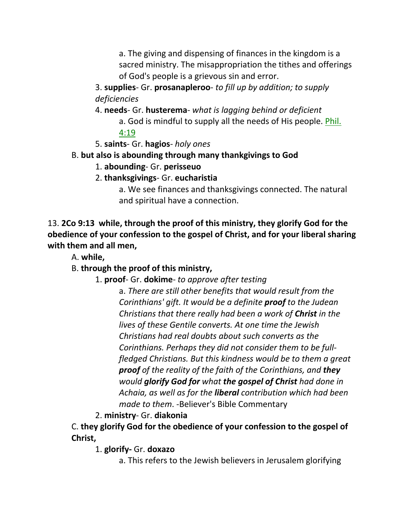a. The giving and dispensing of finances in the kingdom is a sacred ministry. The misappropriation the tithes and offerings of God's people is a grievous sin and error.

3. **supplies**- Gr. **prosanapleroo**- *to fill up by addition; to supply deficiencies*

4. **needs**- Gr. **husterema**- *what is lagging behind or deficient* a. God is mindful to supply all the needs of His people. Phil. 4:19

- 5. **saints** Gr. **hagios** *holy ones*
- B. **but also is abounding through many thankgivings to God**
	- 1. **abounding** Gr. **perisseuo**
	- 2. **thanksgivings** Gr. **eucharistia**

a. We see finances and thanksgivings connected. The natural and spiritual have a connection.

13. **2Co 9:13 while, through the proof of this ministry, they glorify God for the obedience of your confession to the gospel of Christ, and for your liberal sharing with them and all men,** 

A. **while,**

B. **through the proof of this ministry,**

1. **proof**- Gr. **dokime**- *to approve after testing*

a. *There are still other benefits that would result from the Corinthians' gift. It would be a definite proof to the Judean Christians that there really had been a work of Christ in the lives of these Gentile converts. At one time the Jewish Christians had real doubts about such converts as the Corinthians. Perhaps they did not consider them to be fullfledged Christians. But this kindness would be to them a great proof of the reality of the faith of the Corinthians, and they would glorify God for what the gospel of Christ had done in Achaia, as well as for the liberal contribution which had been made to them*. -Believer's Bible Commentary

## 2. **ministry**- Gr. **diakonia**

C. **they glorify God for the obedience of your confession to the gospel of Christ,**

1. **glorify-** Gr. **doxazo**

a. This refers to the Jewish believers in Jerusalem glorifying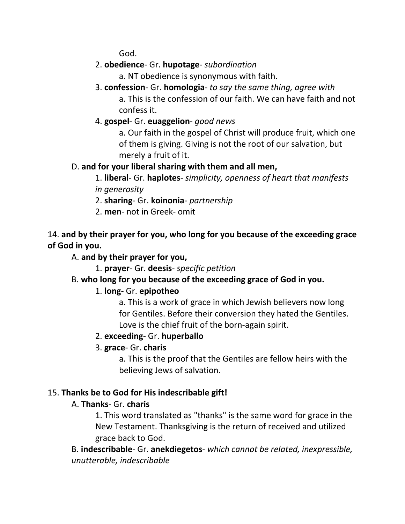God.

- 2. **obedience** Gr. **hupotage** *subordination*
	- a. NT obedience is synonymous with faith.
- 3. **confession** Gr. **homologia** *to say the same thing, agree with*

a. This is the confession of our faith. We can have faith and not confess it.

4. **gospel**- Gr. **euaggelion**- *good news*

a. Our faith in the gospel of Christ will produce fruit, which one of them is giving. Giving is not the root of our salvation, but merely a fruit of it.

## D. **and for your liberal sharing with them and all men,**

- 1. **liberal** Gr. **haplotes** *simplicity, openness of heart that manifests in generosity*
- 2. **sharing** Gr. **koinonia** *partnership*
- 2. **men** not in Greek- omit

14. **and by their prayer for you, who long for you because of the exceeding grace of God in you.** 

## A. **and by their prayer for you,**

1. **prayer**- Gr. **deesis**- *specific petition*

## B. **who long for you because of the exceeding grace of God in you.**

## 1. **long**- Gr. **epipotheo**

a. This is a work of grace in which Jewish believers now long for Gentiles. Before their conversion they hated the Gentiles. Love is the chief fruit of the born-again spirit.

## 2. **exceeding**- Gr. **huperballo**

## 3. **grace**- Gr. **charis**

a. This is the proof that the Gentiles are fellow heirs with the believing Jews of salvation.

## 15. **Thanks be to God for His indescribable gift!**

## A. **Thanks**- Gr. **charis**

1. This word translated as "thanks" is the same word for grace in the New Testament. Thanksgiving is the return of received and utilized grace back to God.

B. **indescribable**- Gr. **anekdiegetos**- *which cannot be related, inexpressible, unutterable, indescribable*